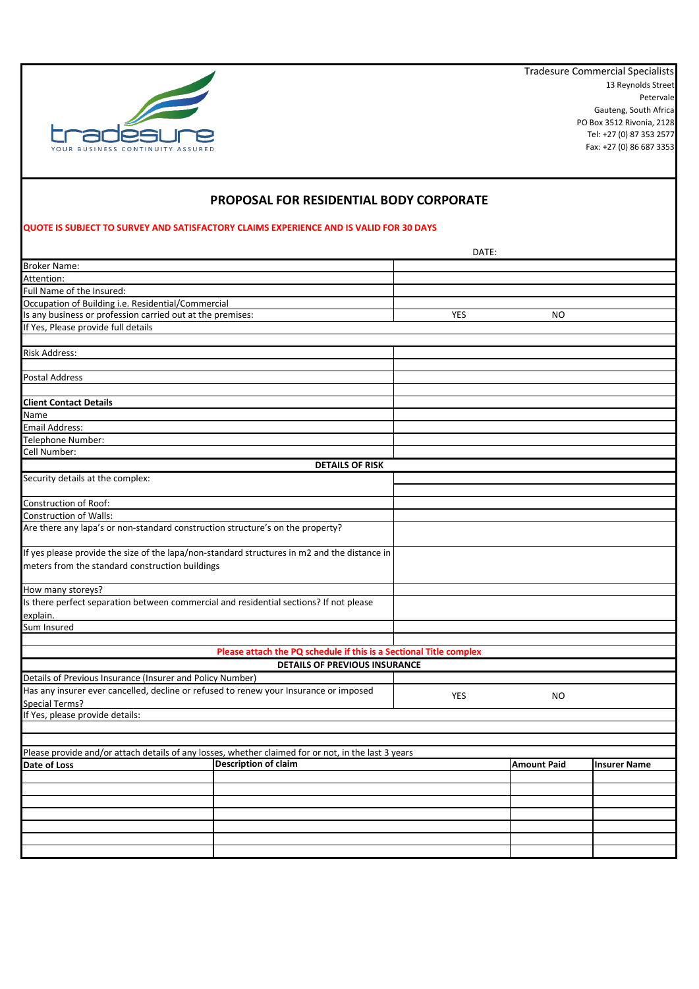

13 Reynolds Street Petervale Gauteng, South Africa PO Box 3512 Rivonia, 2128 Tel: +27 (0) 87 353 2577 Fax: +27 (0) 86 687 3353 Tradesure Commercial Specialists

## **PROPOSAL FOR RESIDENTIAL BODY CORPORATE**

## **QUOTE IS SUBJECT TO SURVEY AND SATISFACTORY CLAIMS EXPERIENCE AND IS VALID FOR 30 DAYS**

|                                                                                                     | DATE:                                                              |            |                    |                     |
|-----------------------------------------------------------------------------------------------------|--------------------------------------------------------------------|------------|--------------------|---------------------|
| <b>Broker Name:</b>                                                                                 |                                                                    |            |                    |                     |
| Attention:                                                                                          |                                                                    |            |                    |                     |
| Full Name of the Insured:                                                                           |                                                                    |            |                    |                     |
| Occupation of Building i.e. Residential/Commercial                                                  |                                                                    |            |                    |                     |
| Is any business or profession carried out at the premises:                                          |                                                                    | YES        | NO                 |                     |
| If Yes, Please provide full details                                                                 |                                                                    |            |                    |                     |
|                                                                                                     |                                                                    |            |                    |                     |
| Risk Address:                                                                                       |                                                                    |            |                    |                     |
|                                                                                                     |                                                                    |            |                    |                     |
| Postal Address                                                                                      |                                                                    |            |                    |                     |
|                                                                                                     |                                                                    |            |                    |                     |
| <b>Client Contact Details</b>                                                                       |                                                                    |            |                    |                     |
| Name                                                                                                |                                                                    |            |                    |                     |
| Email Address:                                                                                      |                                                                    |            |                    |                     |
| Telephone Number:                                                                                   |                                                                    |            |                    |                     |
| Cell Number:                                                                                        |                                                                    |            |                    |                     |
|                                                                                                     | <b>DETAILS OF RISK</b>                                             |            |                    |                     |
| Security details at the complex:                                                                    |                                                                    |            |                    |                     |
|                                                                                                     |                                                                    |            |                    |                     |
| Construction of Roof:                                                                               |                                                                    |            |                    |                     |
| Construction of Walls:                                                                              |                                                                    |            |                    |                     |
| Are there any lapa's or non-standard construction structure's on the property?                      |                                                                    |            |                    |                     |
|                                                                                                     |                                                                    |            |                    |                     |
| If yes please provide the size of the lapa/non-standard structures in m2 and the distance in        |                                                                    |            |                    |                     |
| meters from the standard construction buildings                                                     |                                                                    |            |                    |                     |
|                                                                                                     |                                                                    |            |                    |                     |
| How many storeys?                                                                                   |                                                                    |            |                    |                     |
| Is there perfect separation between commercial and residential sections? If not please              |                                                                    |            |                    |                     |
| explain.                                                                                            |                                                                    |            |                    |                     |
| Sum Insured                                                                                         |                                                                    |            |                    |                     |
|                                                                                                     |                                                                    |            |                    |                     |
|                                                                                                     | Please attach the PQ schedule if this is a Sectional Title complex |            |                    |                     |
|                                                                                                     | <b>DETAILS OF PREVIOUS INSURANCE</b>                               |            |                    |                     |
| Details of Previous Insurance (Insurer and Policy Number)                                           |                                                                    |            |                    |                     |
| Has any insurer ever cancelled, decline or refused to renew your Insurance or imposed               |                                                                    |            |                    |                     |
| Special Terms?                                                                                      |                                                                    | <b>YES</b> | NO.                |                     |
| If Yes, please provide details:                                                                     |                                                                    |            |                    |                     |
|                                                                                                     |                                                                    |            |                    |                     |
|                                                                                                     |                                                                    |            |                    |                     |
| Please provide and/or attach details of any losses, whether claimed for or not, in the last 3 years |                                                                    |            |                    |                     |
| Date of Loss                                                                                        | <b>Description of claim</b>                                        |            | <b>Amount Paid</b> | <b>Insurer Name</b> |
|                                                                                                     |                                                                    |            |                    |                     |
|                                                                                                     |                                                                    |            |                    |                     |
|                                                                                                     |                                                                    |            |                    |                     |
|                                                                                                     |                                                                    |            |                    |                     |
|                                                                                                     |                                                                    |            |                    |                     |
|                                                                                                     |                                                                    |            |                    |                     |
|                                                                                                     |                                                                    |            |                    |                     |